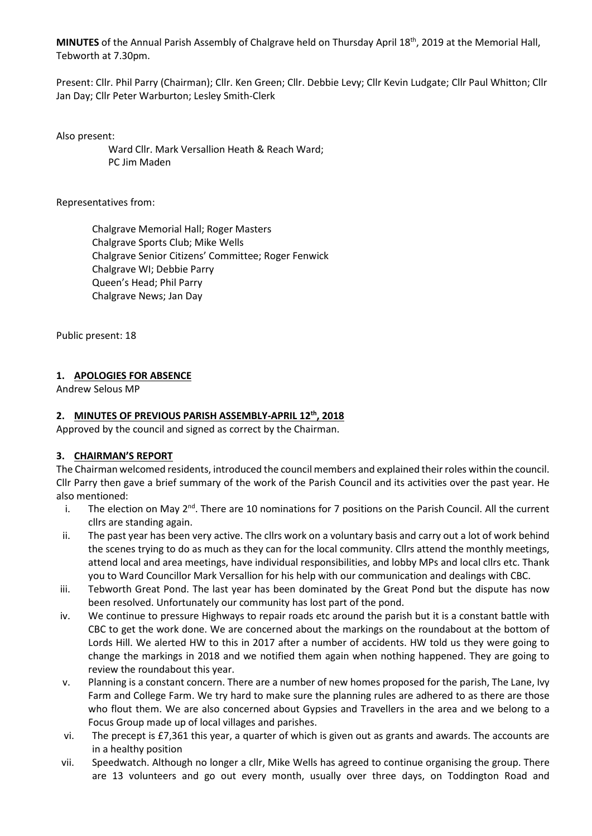**MINUTES** of the Annual Parish Assembly of Chalgrave held on Thursday April 18th, 2019 at the Memorial Hall, Tebworth at 7.30pm.

Present: Cllr. Phil Parry (Chairman); Cllr. Ken Green; Cllr. Debbie Levy; Cllr Kevin Ludgate; Cllr Paul Whitton; Cllr Jan Day; Cllr Peter Warburton; Lesley Smith-Clerk

Also present:

 Ward Cllr. Mark Versallion Heath & Reach Ward; PC Jim Maden

Representatives from:

Chalgrave Memorial Hall; Roger Masters Chalgrave Sports Club; Mike Wells Chalgrave Senior Citizens' Committee; Roger Fenwick Chalgrave WI; Debbie Parry Queen's Head; Phil Parry Chalgrave News; Jan Day

Public present: 18

## **1. APOLOGIES FOR ABSENCE**

Andrew Selous MP

#### **2. MINUTES OF PREVIOUS PARISH ASSEMBLY-APRIL 12th, 2018**

Approved by the council and signed as correct by the Chairman.

## **3. CHAIRMAN'S REPORT**

The Chairman welcomed residents, introduced the council members and explained their roles within the council. Cllr Parry then gave a brief summary of the work of the Parish Council and its activities over the past year. He also mentioned:

- i. The election on May  $2^{nd}$ . There are 10 nominations for 7 positions on the Parish Council. All the current cllrs are standing again.
- ii. The past year has been very active. The cllrs work on a voluntary basis and carry out a lot of work behind the scenes trying to do as much as they can for the local community. Cllrs attend the monthly meetings, attend local and area meetings, have individual responsibilities, and lobby MPs and local cllrs etc. Thank you to Ward Councillor Mark Versallion for his help with our communication and dealings with CBC.
- iii. Tebworth Great Pond. The last year has been dominated by the Great Pond but the dispute has now been resolved. Unfortunately our community has lost part of the pond.
- iv. We continue to pressure Highways to repair roads etc around the parish but it is a constant battle with CBC to get the work done. We are concerned about the markings on the roundabout at the bottom of Lords Hill. We alerted HW to this in 2017 after a number of accidents. HW told us they were going to change the markings in 2018 and we notified them again when nothing happened. They are going to review the roundabout this year.
- v. Planning is a constant concern. There are a number of new homes proposed for the parish, The Lane, Ivy Farm and College Farm. We try hard to make sure the planning rules are adhered to as there are those who flout them. We are also concerned about Gypsies and Travellers in the area and we belong to a Focus Group made up of local villages and parishes.
- vi. The precept is £7,361 this year, a quarter of which is given out as grants and awards. The accounts are in a healthy position
- vii. Speedwatch. Although no longer a cllr, Mike Wells has agreed to continue organising the group. There are 13 volunteers and go out every month, usually over three days, on Toddington Road and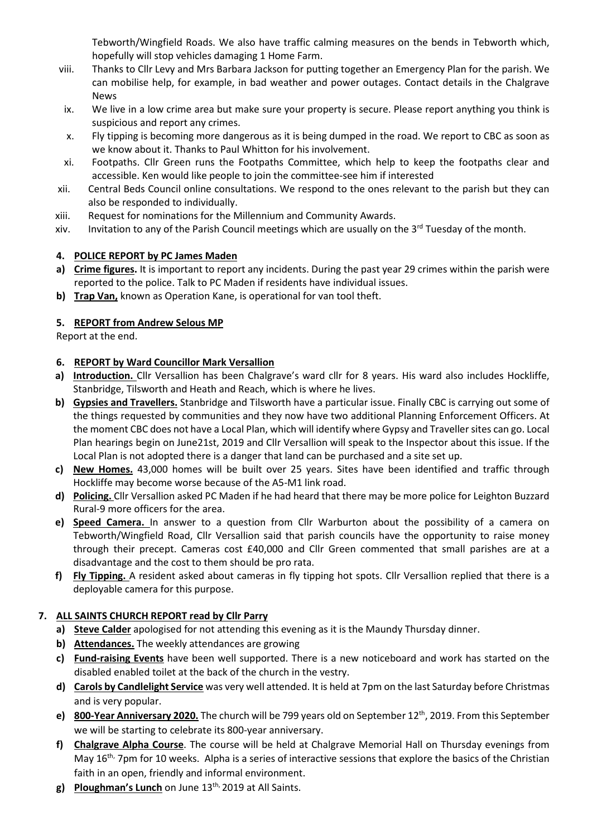Tebworth/Wingfield Roads. We also have traffic calming measures on the bends in Tebworth which, hopefully will stop vehicles damaging 1 Home Farm.

- viii. Thanks to Cllr Levy and Mrs Barbara Jackson for putting together an Emergency Plan for the parish. We can mobilise help, for example, in bad weather and power outages. Contact details in the Chalgrave News
- ix. We live in a low crime area but make sure your property is secure. Please report anything you think is suspicious and report any crimes.
- x. Fly tipping is becoming more dangerous as it is being dumped in the road. We report to CBC as soon as we know about it. Thanks to Paul Whitton for his involvement.
- xi. Footpaths. Cllr Green runs the Footpaths Committee, which help to keep the footpaths clear and accessible. Ken would like people to join the committee-see him if interested
- xii. Central Beds Council online consultations. We respond to the ones relevant to the parish but they can also be responded to individually.
- xiii. Request for nominations for the Millennium and Community Awards.
- xiv. Invitation to any of the Parish Council meetings which are usually on the 3<sup>rd</sup> Tuesday of the month.

## **4. POLICE REPORT by PC James Maden**

- **a) Crime figures.** It is important to report any incidents. During the past year 29 crimes within the parish were reported to the police. Talk to PC Maden if residents have individual issues.
- **b) Trap Van,** known as Operation Kane, is operational for van tool theft.

## **5. REPORT from Andrew Selous MP**

Report at the end.

## **6. REPORT by Ward Councillor Mark Versallion**

- **a) Introduction.** Cllr Versallion has been Chalgrave's ward cllr for 8 years. His ward also includes Hockliffe, Stanbridge, Tilsworth and Heath and Reach, which is where he lives.
- **b) Gypsies and Travellers.** Stanbridge and Tilsworth have a particular issue. Finally CBC is carrying out some of the things requested by communities and they now have two additional Planning Enforcement Officers. At the moment CBC does not have a Local Plan, which will identify where Gypsy and Traveller sites can go. Local Plan hearings begin on June21st, 2019 and Cllr Versallion will speak to the Inspector about this issue. If the Local Plan is not adopted there is a danger that land can be purchased and a site set up.
- **c) New Homes.** 43,000 homes will be built over 25 years. Sites have been identified and traffic through Hockliffe may become worse because of the A5-M1 link road.
- **d) Policing.** Cllr Versallion asked PC Maden if he had heard that there may be more police for Leighton Buzzard Rural-9 more officers for the area.
- **e) Speed Camera.** In answer to a question from Cllr Warburton about the possibility of a camera on Tebworth/Wingfield Road, Cllr Versallion said that parish councils have the opportunity to raise money through their precept. Cameras cost £40,000 and Cllr Green commented that small parishes are at a disadvantage and the cost to them should be pro rata.
- **f) Fly Tipping.** A resident asked about cameras in fly tipping hot spots. Cllr Versallion replied that there is a deployable camera for this purpose.

# **7. ALL SAINTS CHURCH REPORT read by Cllr Parry**

- **a) Steve Calder** apologised for not attending this evening as it is the Maundy Thursday dinner.
- **b) Attendances.** The weekly attendances are growing
- **c) Fund-raising Events** have been well supported. There is a new noticeboard and work has started on the disabled enabled toilet at the back of the church in the vestry.
- **d) Carols by Candlelight Service** was very well attended. It is held at 7pm on the last Saturday before Christmas and is very popular.
- **e) 800-Year Anniversary 2020.** The church will be 799 years old on September 12<sup>th</sup>, 2019. From this September we will be starting to celebrate its 800-year anniversary.
- **f) Chalgrave Alpha Course**. The course will be held at Chalgrave Memorial Hall on Thursday evenings from May  $16<sup>th</sup>$ , 7pm for 10 weeks. Alpha is a series of interactive sessions that explore the basics of the Christian faith in an open, friendly and informal environment.
- **g) Ploughman's Lunch** on June 13th, 2019 at All Saints.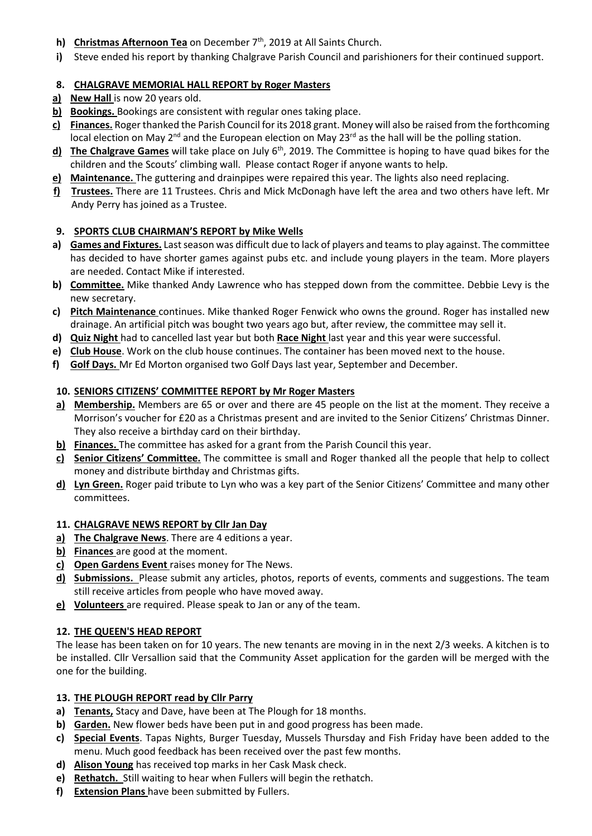- **h) Christmas Afternoon Tea** on December 7<sup>th</sup>, 2019 at All Saints Church.
- **i)** Steve ended his report by thanking Chalgrave Parish Council and parishioners for their continued support.

# **8. CHALGRAVE MEMORIAL HALL REPORT by Roger Masters**

- **a) New Hall** is now 20 years old.
- **b) Bookings.** Bookings are consistent with regular ones taking place.
- **c) Finances.** Roger thanked the Parish Council for its 2018 grant. Money will also be raised from the forthcoming local election on May 2<sup>nd</sup> and the European election on May 23<sup>rd</sup> as the hall will be the polling station.
- **d)** The Chalgrave Games will take place on July 6<sup>th</sup>, 2019. The Committee is hoping to have quad bikes for the children and the Scouts' climbing wall. Please contact Roger if anyone wants to help.
- **e) Maintenance.** The guttering and drainpipes were repaired this year. The lights also need replacing.
- **f) Trustees.** There are 11 Trustees. Chris and Mick McDonagh have left the area and two others have left. Mr Andy Perry has joined as a Trustee.

## **9. SPORTS CLUB CHAIRMAN'S REPORT by Mike Wells**

- **a) Games and Fixtures.** Last season was difficult due to lack of players and teams to play against. The committee has decided to have shorter games against pubs etc. and include young players in the team. More players are needed. Contact Mike if interested.
- **b) Committee.** Mike thanked Andy Lawrence who has stepped down from the committee. Debbie Levy is the new secretary.
- **c) Pitch Maintenance** continues. Mike thanked Roger Fenwick who owns the ground. Roger has installed new drainage. An artificial pitch was bought two years ago but, after review, the committee may sell it.
- **d) Quiz Night** had to cancelled last year but both **Race Night** last year and this year were successful.
- **e) Club House**. Work on the club house continues. The container has been moved next to the house.
- **f) Golf Days.** Mr Ed Morton organised two Golf Days last year, September and December.

## **10. SENIORS CITIZENS' COMMITTEE REPORT by Mr Roger Masters**

- **a) Membership.** Members are 65 or over and there are 45 people on the list at the moment. They receive a Morrison's voucher for £20 as a Christmas present and are invited to the Senior Citizens' Christmas Dinner. They also receive a birthday card on their birthday.
- **b) Finances.** The committee has asked for a grant from the Parish Council this year.
- **c) Senior Citizens' Committee.** The committee is small and Roger thanked all the people that help to collect money and distribute birthday and Christmas gifts.
- **d) Lyn Green.** Roger paid tribute to Lyn who was a key part of the Senior Citizens' Committee and many other committees.

# **11. CHALGRAVE NEWS REPORT by Cllr Jan Day**

- **a) The Chalgrave News**. There are 4 editions a year.
- **b) Finances** are good at the moment.
- **c) Open Gardens Event** raises money for The News.
- **d) Submissions.** Please submit any articles, photos, reports of events, comments and suggestions. The team still receive articles from people who have moved away.
- **e) Volunteers** are required. Please speak to Jan or any of the team.

## **12. THE QUEEN'S HEAD REPORT**

The lease has been taken on for 10 years. The new tenants are moving in in the next 2/3 weeks. A kitchen is to be installed. Cllr Versallion said that the Community Asset application for the garden will be merged with the one for the building.

## **13. THE PLOUGH REPORT read by Cllr Parry**

- **a) Tenants,** Stacy and Dave, have been at The Plough for 18 months.
- **b) Garden.** New flower beds have been put in and good progress has been made.
- **c) Special Events**. Tapas Nights, Burger Tuesday, Mussels Thursday and Fish Friday have been added to the menu. Much good feedback has been received over the past few months.
- **d) Alison Young** has received top marks in her Cask Mask check.
- **e) Rethatch.** Still waiting to hear when Fullers will begin the rethatch.
- **f) Extension Plans** have been submitted by Fullers.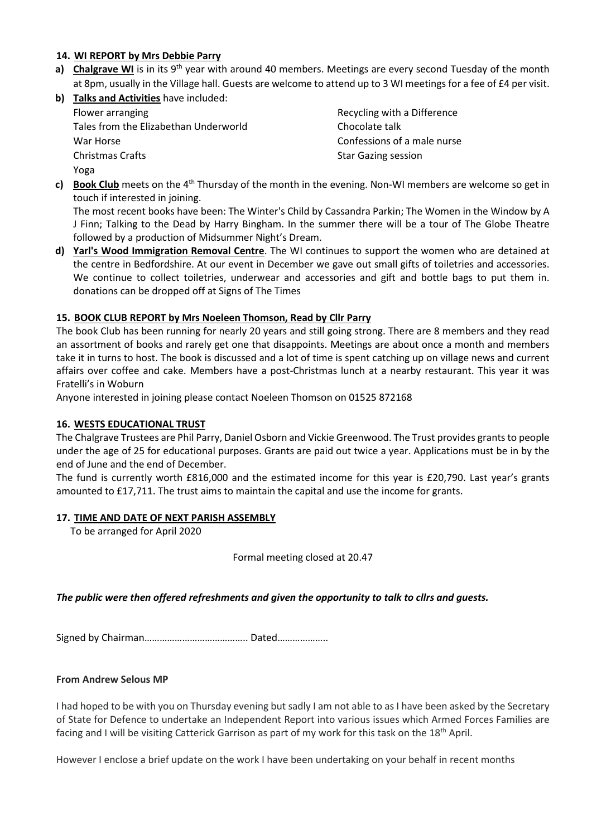#### **14. WI REPORT by Mrs Debbie Parry**

- **a)** Chalgrave WI is in its 9<sup>th</sup> year with around 40 members. Meetings are every second Tuesday of the month at 8pm, usually in the Village hall. Guests are welcome to attend up to 3 WI meetings for a fee of £4 per visit.
- **b) Talks and Activities** have included:

| Flower arranging                      | Recycling with a Difference |
|---------------------------------------|-----------------------------|
| Tales from the Elizabethan Underworld | Chocolate talk              |
| War Horse                             | Confessions of a male nurse |
| <b>Christmas Crafts</b>               | <b>Star Gazing session</b>  |
| Yoga                                  |                             |

**c)** Book Club meets on the 4<sup>th</sup> Thursday of the month in the evening. Non-WI members are welcome so get in touch if interested in joining.

The most recent books have been: The Winter's Child by Cassandra Parkin; The Women in the Window by A J Finn; Talking to the Dead by Harry Bingham. In the summer there will be a tour of The Globe Theatre followed by a production of Midsummer Night's Dream.

**d) Yarl's Wood Immigration Removal Centre**. The WI continues to support the women who are detained at the centre in Bedfordshire. At our event in December we gave out small gifts of toiletries and accessories. We continue to collect toiletries, underwear and accessories and gift and bottle bags to put them in. donations can be dropped off at Signs of The Times

## **15. BOOK CLUB REPORT by Mrs Noeleen Thomson, Read by Cllr Parry**

The book Club has been running for nearly 20 years and still going strong. There are 8 members and they read an assortment of books and rarely get one that disappoints. Meetings are about once a month and members take it in turns to host. The book is discussed and a lot of time is spent catching up on village news and current affairs over coffee and cake. Members have a post-Christmas lunch at a nearby restaurant. This year it was Fratelli's in Woburn

Anyone interested in joining please contact Noeleen Thomson on 01525 872168

#### **16. WESTS EDUCATIONAL TRUST**

The Chalgrave Trustees are Phil Parry, Daniel Osborn and Vickie Greenwood. The Trust provides grants to people under the age of 25 for educational purposes. Grants are paid out twice a year. Applications must be in by the end of June and the end of December.

The fund is currently worth £816,000 and the estimated income for this year is £20,790. Last year's grants amounted to £17,711. The trust aims to maintain the capital and use the income for grants.

#### **17. TIME AND DATE OF NEXT PARISH ASSEMBLY**

To be arranged for April 2020

Formal meeting closed at 20.47

*The public were then offered refreshments and given the opportunity to talk to cllrs and guests.*

Signed by Chairman………………………………….. Dated………………..

#### **From Andrew Selous MP**

I had hoped to be with you on Thursday evening but sadly I am not able to as I have been asked by the Secretary of State for Defence to undertake an Independent Report into various issues which Armed Forces Families are facing and I will be visiting Catterick Garrison as part of my work for this task on the 18<sup>th</sup> April.

However I enclose a brief update on the work I have been undertaking on your behalf in recent months